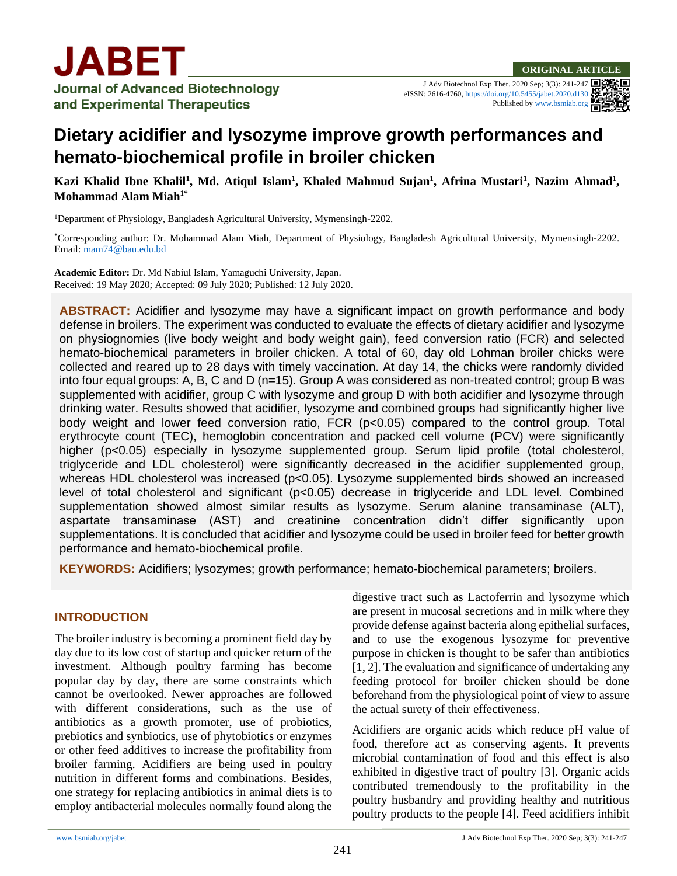J Adv Biotechnol Exp Ther. 2020 Sep; 3(3): 241-247 eISSN: 2616-4760[, https://doi.org/10.5455/jabet.2020.d130](https://doi.org/10.5455/jabet.2020.d130) Published b[y www.bsmiab.org](http://www.bsmiab.org/)

# **Dietary acidifier and lysozyme improve growth performances and hemato-biochemical profile in broiler chicken**

**Kazi Khalid Ibne Khalil<sup>1</sup>, Md. Atiqul Islam<sup>1</sup>, Khaled Mahmud Sujan<sup>1</sup>, Afrina Mustari<sup>1</sup>, Nazim Ahmad<sup>1</sup>, Mohammad Alam Miah1\***

<sup>1</sup>Department of Physiology, Bangladesh Agricultural University, Mymensingh-2202.

\*Corresponding author: Dr. Mohammad Alam Miah, Department of Physiology, Bangladesh Agricultural University, Mymensingh-2202. Email[: mam74@bau.edu.bd](mailto:mam74@bau.edu.bd)

**Academic Editor:** Dr. Md Nabiul Islam, Yamaguchi University, Japan. Received: 19 May 2020; Accepted: 09 July 2020; Published: 12 July 2020.

**ABSTRACT:** Acidifier and lysozyme may have a significant impact on growth performance and body defense in broilers. The experiment was conducted to evaluate the effects of dietary acidifier and lysozyme on physiognomies (live body weight and body weight gain), feed conversion ratio (FCR) and selected hemato-biochemical parameters in broiler chicken. A total of 60, day old Lohman broiler chicks were collected and reared up to 28 days with timely vaccination. At day 14, the chicks were randomly divided into four equal groups: A, B, C and D (n=15). Group A was considered as non-treated control; group B was supplemented with acidifier, group C with lysozyme and group D with both acidifier and lysozyme through drinking water. Results showed that acidifier, lysozyme and combined groups had significantly higher live body weight and lower feed conversion ratio, FCR (p<0.05) compared to the control group. Total erythrocyte count (TEC), hemoglobin concentration and packed cell volume (PCV) were significantly higher (p<0.05) especially in lysozyme supplemented group. Serum lipid profile (total cholesterol, triglyceride and LDL cholesterol) were significantly decreased in the acidifier supplemented group, whereas HDL cholesterol was increased (p<0.05). Lysozyme supplemented birds showed an increased level of total cholesterol and significant (p<0.05) decrease in triglyceride and LDL level. Combined supplementation showed almost similar results as lysozyme. Serum alanine transaminase (ALT), aspartate transaminase (AST) and creatinine concentration didn't differ significantly upon supplementations. It is concluded that acidifier and lysozyme could be used in broiler feed for better growth performance and hemato-biochemical profile.

**KEYWORDS:** Acidifiers; lysozymes; growth performance; hemato-biochemical parameters; broilers.

#### **INTRODUCTION**

The broiler industry is becoming a prominent field day by day due to its low cost of startup and quicker return of the investment. Although poultry farming has become popular day by day, there are some constraints which cannot be overlooked. Newer approaches are followed with different considerations, such as the use of antibiotics as a growth promoter, use of probiotics, prebiotics and synbiotics, use of phytobiotics or enzymes or other feed additives to increase the profitability from broiler farming. Acidifiers are being used in poultry nutrition in different forms and combinations. Besides, one strategy for replacing antibiotics in animal diets is to employ antibacterial molecules normally found along the digestive tract such as Lactoferrin and lysozyme which are present in mucosal secretions and in milk where they provide defense against bacteria along epithelial surfaces, and to use the exogenous lysozyme for preventive purpose in chicken is thought to be safer than antibiotics [1, 2]. The evaluation and significance of undertaking any feeding protocol for broiler chicken should be done beforehand from the physiological point of view to assure the actual surety of their effectiveness.

Acidifiers are organic acids which reduce pH value of food, therefore act as conserving agents. It prevents microbial contamination of food and this effect is also exhibited in digestive tract of poultry [3]. Organic acids contributed tremendously to the profitability in the poultry husbandry and providing healthy and nutritious poultry products to the people [4]. Feed acidifiers inhibit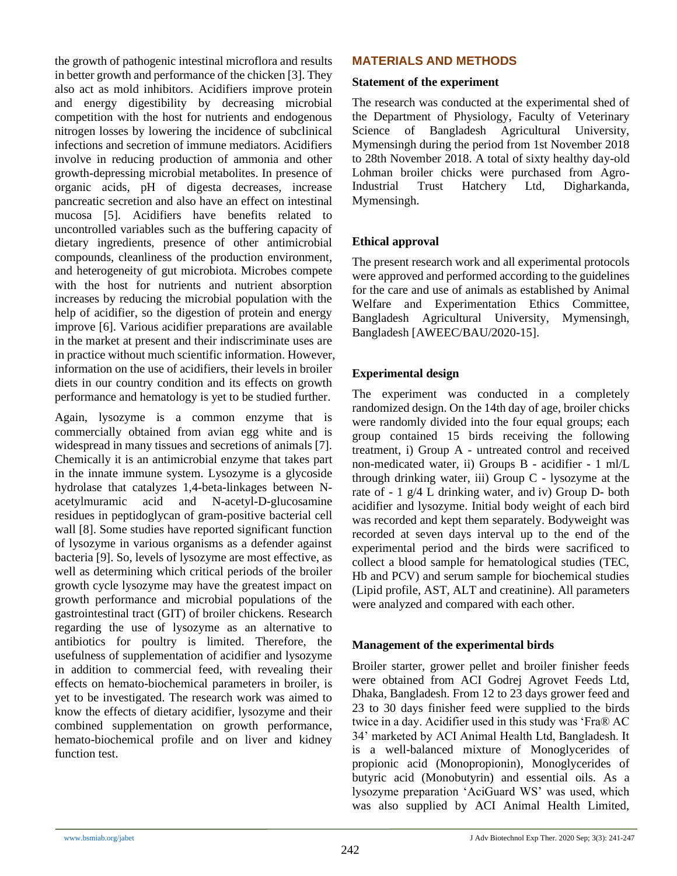the growth of pathogenic intestinal microflora and results in better growth and performance of the chicken [3]. They also act as mold inhibitors. Acidifiers improve protein and energy digestibility by decreasing microbial competition with the host for nutrients and endogenous nitrogen losses by lowering the incidence of subclinical infections and secretion of immune mediators. Acidifiers involve in reducing production of ammonia and other growth-depressing microbial metabolites. In presence of organic acids, pH of digesta decreases, increase pancreatic secretion and also have an effect on intestinal mucosa [5]. Acidifiers have benefits related to uncontrolled variables such as the buffering capacity of dietary ingredients, presence of other antimicrobial compounds, cleanliness of the production environment, and heterogeneity of gut microbiota. Microbes compete with the host for nutrients and nutrient absorption increases by reducing the microbial population with the help of acidifier, so the digestion of protein and energy improve [6]. Various acidifier preparations are available in the market at present and their indiscriminate uses are in practice without much scientific information. However, information on the use of acidifiers, their levels in broiler diets in our country condition and its effects on growth performance and hematology is yet to be studied further.

Again, lysozyme is a common enzyme that is commercially obtained from avian egg white and is widespread in many tissues and secretions of animals [7]. Chemically it is an [antimicrobial](https://en.wikipedia.org/wiki/Antimicrobial) enzyme that takes part in the [innate immune system.](https://en.wikipedia.org/wiki/Innate_immune_system) Lysozyme is a [glycoside](https://en.wikipedia.org/wiki/Glycoside_hydrolase)  [hydrolase](https://en.wikipedia.org/wiki/Glycoside_hydrolase) that catalyzes 1,4-beta-linkages between [N](https://en.wikipedia.org/wiki/N-acetylmuramic_acid)[acetylmuramic acid](https://en.wikipedia.org/wiki/N-acetylmuramic_acid) and [N-acetyl-D-glucosamine](https://en.wikipedia.org/wiki/N-acetyl-D-glucosamine) residues in [peptidoglycan](https://en.wikipedia.org/wiki/Peptidoglycan) of [gram-positive bacterial](https://en.wikipedia.org/wiki/Gram-positive_bacteria) cell wall [8]. Some studies have reported significant function of lysozyme in various organisms as a defender against bacteria [9]. So, levels of lysozyme are most effective, as well as determining which critical periods of the broiler growth cycle lysozyme may have the greatest impact on growth performance and microbial populations of the gastrointestinal tract (GIT) of broiler chickens. Research regarding the use of lysozyme as an alternative to antibiotics for poultry is limited. Therefore, the usefulness of supplementation of acidifier and lysozyme in addition to commercial feed, with revealing their effects on hemato-biochemical parameters in broiler, is yet to be investigated. The research work was aimed to know the effects of dietary acidifier, lysozyme and their combined supplementation on growth performance, hemato-biochemical profile and on liver and kidney function test.

# **MATERIALS AND METHODS**

#### **Statement of the experiment**

The research was conducted at the experimental shed of the Department of Physiology, Faculty of Veterinary Science of Bangladesh Agricultural University, Mymensingh during the period from 1st November 2018 to 28th November 2018. A total of sixty healthy day-old Lohman broiler chicks were purchased from Agro-Industrial Trust Hatchery Ltd, Digharkanda, Mymensingh.

## **Ethical approval**

The present research work and all experimental protocols were approved and performed according to the guidelines for the care and use of animals as established by Animal Welfare and Experimentation Ethics Committee, Bangladesh Agricultural University, Mymensingh, Bangladesh [AWEEC/BAU/2020-15].

## **Experimental design**

The experiment was conducted in a completely randomized design. On the 14th day of age, broiler chicks were randomly divided into the four equal groups; each group contained 15 birds receiving the following treatment, i) Group A - untreated control and received non-medicated water, ii) Groups B - acidifier - 1 ml/L through drinking water, iii) Group  $C$  - lysozyme at the rate of - 1 g/4 L drinking water, and iv) Group D- both acidifier and lysozyme. Initial body weight of each bird was recorded and kept them separately. Bodyweight was recorded at seven days interval up to the end of the experimental period and the birds were sacrificed to collect a blood sample for hematological studies (TEC, Hb and PCV) and serum sample for biochemical studies (Lipid profile, AST, ALT and creatinine). All parameters were analyzed and compared with each other.

#### **Management of the experimental birds**

Broiler starter, grower pellet and broiler finisher feeds were obtained from ACI Godrej Agrovet Feeds Ltd, Dhaka, Bangladesh. From 12 to 23 days grower feed and 23 to 30 days finisher feed were supplied to the birds twice in a day. Acidifier used in this study was 'Fra® AC 34' marketed by ACI Animal Health Ltd, Bangladesh. It is a well-balanced mixture of Monoglycerides of propionic acid (Monopropionin), Monoglycerides of butyric acid (Monobutyrin) and essential oils. As a lysozyme preparation 'AciGuard WS' was used, which was also supplied by ACI Animal Health Limited,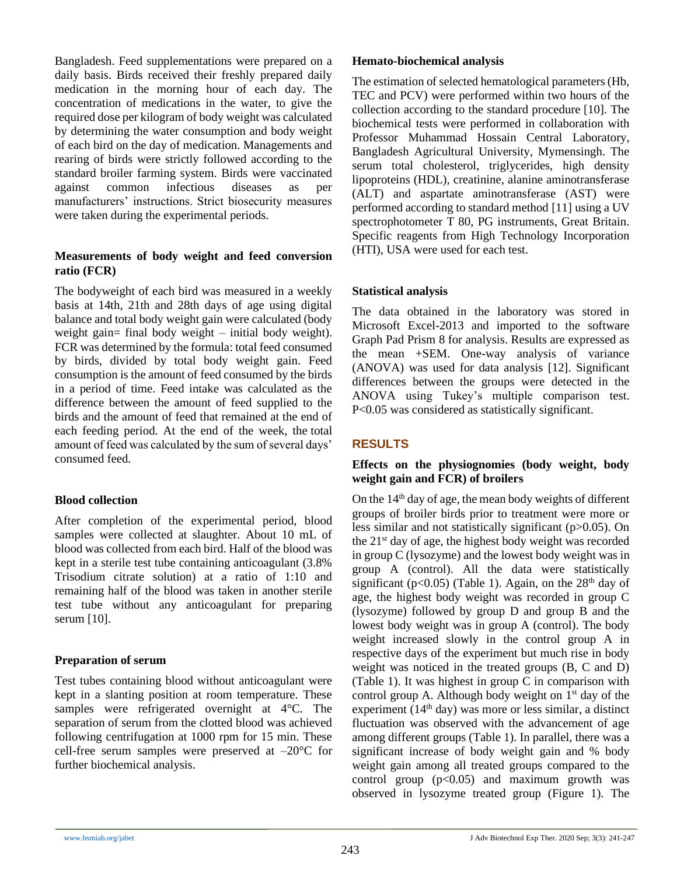Bangladesh. Feed supplementations were prepared on a daily basis. Birds received their freshly prepared daily medication in the morning hour of each day. The concentration of medications in the water, to give the required dose per kilogram of body weight was calculated by determining the water consumption and body weight of each bird on the day of medication. Managements and rearing of birds were strictly followed according to the standard broiler farming system. Birds were vaccinated against common infectious diseases as per manufacturers' instructions. Strict biosecurity measures were taken during the experimental periods.

#### **Measurements of body weight and feed conversion ratio (FCR)**

The bodyweight of each bird was measured in a weekly basis at 14th, 21th and 28th days of age using digital balance and total body weight gain were calculated (body weight gain= final body weight – initial body weight). FCR was determined by the formula: total feed consumed by birds, divided by total body weight gain. Feed consumption is the amount of feed consumed by the birds in a period of time. Feed intake was calculated as the difference between the amount of feed supplied to the birds and the amount of feed that remained at the end of each feeding period. At the end of the week, the total amount of feed was calculated by the sum of several days' consumed feed.

#### **Blood collection**

After completion of the experimental period, blood samples were collected at slaughter. About 10 mL of blood was collected from each bird. Half of the blood was kept in a sterile test tube containing anticoagulant (3.8% Trisodium citrate solution) at a ratio of 1:10 and remaining half of the blood was taken in another sterile test tube without any anticoagulant for preparing serum [10].

# **Preparation of serum**

Test tubes containing blood without anticoagulant were kept in a slanting position at room temperature. These samples were refrigerated overnight at 4°C. The separation of serum from the clotted blood was achieved following centrifugation at 1000 rpm for 15 min. These cell-free serum samples were preserved at  $-20^{\circ}$ C for further biochemical analysis.

#### **Hemato-biochemical analysis**

The estimation of selected hematological parameters (Hb, TEC and PCV) were performed within two hours of the collection according to the standard procedure [10]. The biochemical tests were performed in collaboration with Professor Muhammad Hossain Central Laboratory, Bangladesh Agricultural University, Mymensingh. The serum total cholesterol, triglycerides, high density lipoproteins (HDL), creatinine, alanine aminotransferase (ALT) and aspartate aminotransferase (AST) were performed according to standard method [11] using a UV spectrophotometer T 80, PG instruments, Great Britain. Specific reagents from High Technology Incorporation (HTI), USA were used for each test.

# **Statistical analysis**

The data obtained in the laboratory was stored in Microsoft Excel-2013 and imported to the software Graph Pad Prism 8 for analysis. Results are expressed as the mean +SEM. One-way analysis of variance (ANOVA) was used for data analysis [12]. Significant differences between the groups were detected in the ANOVA using Tukey's multiple comparison test. P<0.05 was considered as statistically significant.

# **RESULTS**

## **Effects on the physiognomies (body weight, body weight gain and FCR) of broilers**

On the  $14<sup>th</sup>$  day of age, the mean body weights of different groups of broiler birds prior to treatment were more or less similar and not statistically significant (p>0.05). On the 21st day of age, the highest body weight was recorded in group C (lysozyme) and the lowest body weight was in group A (control). All the data were statistically significant ( $p<0.05$ ) (Table 1). Again, on the 28<sup>th</sup> day of age, the highest body weight was recorded in group C (lysozyme) followed by group D and group B and the lowest body weight was in group A (control). The body weight increased slowly in the control group A in respective days of the experiment but much rise in body weight was noticed in the treated groups (B, C and D) (Table 1). It was highest in group C in comparison with control group A. Although body weight on  $1<sup>st</sup>$  day of the experiment  $(14<sup>th</sup> \, \text{day})$  was more or less similar, a distinct fluctuation was observed with the advancement of age among different groups (Table 1). In parallel, there was a significant increase of body weight gain and % body weight gain among all treated groups compared to the control group  $(p<0.05)$  and maximum growth was observed in lysozyme treated group (Figure 1). The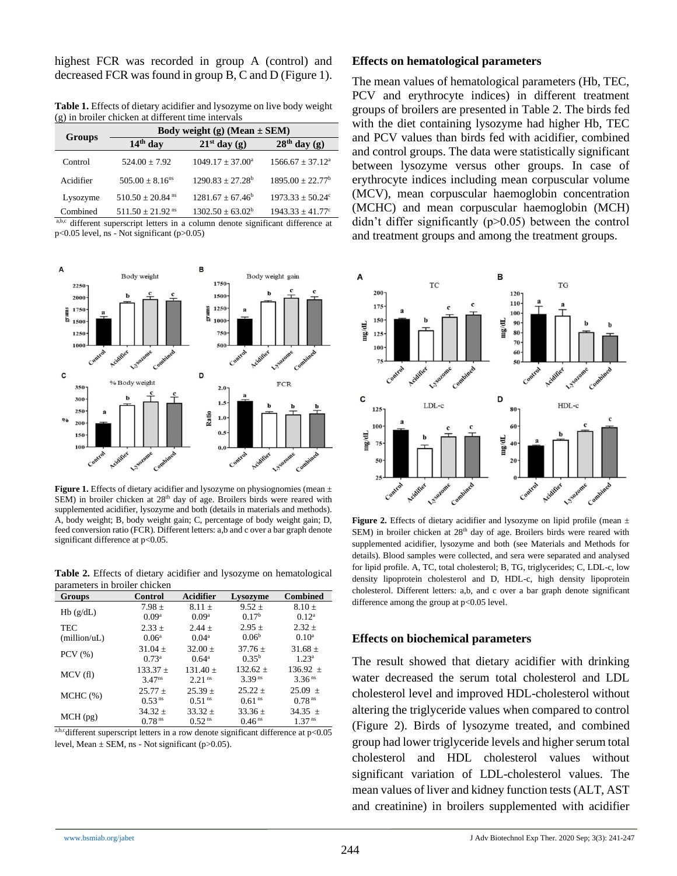highest FCR was recorded in group A (control) and decreased FCR was found in group B, C and D (Figure 1).

**Table 1.** Effects of dietary acidifier and lysozyme on live body weight (g) in broiler chicken at different time intervals

| <b>Groups</b> | Body weight (g) (Mean $\pm$ SEM) |                       |                           |  |
|---------------|----------------------------------|-----------------------|---------------------------|--|
|               | $14th$ day                       | $21st$ day (g)        | $28th$ day (g)            |  |
| Control       | $524.00 \pm 7.92$                | $1049.17 \pm 37.00^a$ | $1566.67 \pm 37.12^a$     |  |
| Acidifier     | $505.00 + 8.16$ <sup>ns</sup>    | $1290.83 + 27.28^b$   | $1895.00 + 22.77^b$       |  |
| Lysozyme      | $510.50 \pm 20.84$ <sup>ns</sup> | $1281.67 + 67.46^b$   | $1973.33 + 50.24^{\circ}$ |  |
| Combined      | $511.50 \pm 21.92$ <sup>ns</sup> | $1302.50 \pm 63.02^b$ | $1943.33 \pm 41.77$ °     |  |

a,b,c different superscript letters in a column denote significant difference at  $p<0.05$  level, ns - Not significant ( $p>0.05$ )



**Figure 1.** Effects of dietary acidifier and lysozyme on physiognomies (mean  $\pm$ SEM) in broiler chicken at 28<sup>th</sup> day of age. Broilers birds were reared with supplemented acidifier, lysozyme and both (details in materials and methods). A, body weight; B, body weight gain; C, percentage of body weight gain; D, feed conversion ratio (FCR). Different letters: a,b and c over a bar graph denote significant difference at p<0.05.

**Table 2.** Effects of dietary acidifier and lysozyme on hematological parameters in broiler chicken

| Groups        | <b>Control</b>       | <b>Acidifier</b>     | Lysozyme           | <b>Combined</b>    |
|---------------|----------------------|----------------------|--------------------|--------------------|
|               | $7.98 \pm$           | $8.11 +$             | $9.52 +$           | $8.10 \pm$         |
| Hb(g/dL)      | 0.09 <sup>a</sup>    | 0.09 <sup>a</sup>    | 0.17 <sup>b</sup>  | $0.12^a$           |
| <b>TEC</b>    | $2.33 \pm$           | $2.44 +$             | $2.95 \pm$         | $2.32 +$           |
| (million/uL)  | 0.06 <sup>a</sup>    | 0.04 <sup>a</sup>    | 0.06 <sup>b</sup>  | 0.10 <sup>a</sup>  |
| $PCV$ $(\% )$ | $31.04 \pm$          | $32.00 \pm$          | $37.76 \pm$        | $31.68 \pm$        |
|               | $0.73^a$             | $0.64^a$             | $0.35^{b}$         | $1.23^{a}$         |
|               | $133.37 \pm$         | $131.40 \pm$         | $132.62 +$         | $136.92 \pm$       |
| MCV(f)        | $3.47$ <sup>ns</sup> | $2.21$ <sup>ns</sup> | 3.39 <sup>ns</sup> | 3.36 <sup>ns</sup> |
| MCHC (%)      | $25.77 \pm$          | $25.39 \pm$          | $25.22 +$          | $25.09 \pm$        |
|               | 0.53 <sup>ns</sup>   | 0.51 <sup>ns</sup>   | 0.61 <sup>ns</sup> | 0.78 <sup>ns</sup> |
|               | $34.32 \pm$          | $33.32 \pm$          | $33.36 \pm$        | 34.35 $\pm$        |
| $MCH$ (pg)    | 0.78 <sup>ns</sup>   | 0.52 <sup>ns</sup>   | 0.46 <sup>ns</sup> | 1.37 <sup>ns</sup> |

a,b,cdifferent superscript letters in a row denote significant difference at  $p<0.05$ level, Mean  $\pm$  SEM, ns - Not significant (p>0.05).

#### **Effects on hematological parameters**

The mean values of hematological parameters (Hb, TEC, PCV and erythrocyte indices) in different treatment groups of broilers are presented in Table 2. The birds fed with the diet containing lysozyme had higher Hb, TEC and PCV values than birds fed with acidifier, combined and control groups. The data were statistically significant between lysozyme versus other groups. In case of erythrocyte indices including mean corpuscular volume (MCV), mean corpuscular haemoglobin concentration (MCHC) and mean corpuscular haemoglobin (MCH) didn't differ significantly (p>0.05) between the control and treatment groups and among the treatment groups.



**Figure 2.** Effects of dietary acidifier and lysozyme on lipid profile (mean  $\pm$ SEM) in broiler chicken at  $28<sup>th</sup>$  day of age. Broilers birds were reared with supplemented acidifier, lysozyme and both (see Materials and Methods for details). Blood samples were collected, and sera were separated and analysed for lipid profile. A, TC, total cholesterol; B, TG, triglycerides; C, LDL-c, low density lipoprotein cholesterol and D, HDL-c, high density lipoprotein cholesterol. Different letters: a,b, and c over a bar graph denote significant difference among the group at p<0.05 level.

#### **Effects on biochemical parameters**

The result showed that dietary acidifier with drinking water decreased the serum total cholesterol and LDL cholesterol level and improved HDL-cholesterol without altering the triglyceride values when compared to control (Figure 2). Birds of lysozyme treated, and combined group had lower triglyceride levels and higher serum total cholesterol and HDL cholesterol values without significant variation of LDL-cholesterol values. The mean values of liver and kidney function tests (ALT, AST and creatinine) in broilers supplemented with acidifier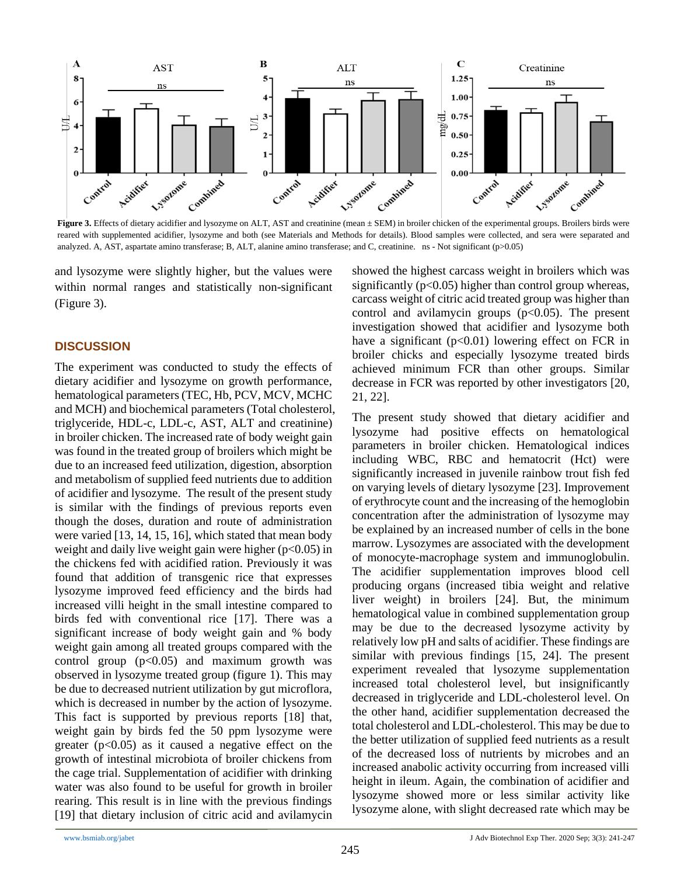

Figure 3. Effects of dietary acidifier and lysozyme on ALT, AST and creatinine (mean  $\pm$  SEM) in broiler chicken of the experimental groups. Broilers birds were reared with supplemented acidifier, lysozyme and both (see Materials and Methods for details). Blood samples were collected, and sera were separated and analyzed. A, AST, aspartate amino transferase; B, ALT, alanine amino transferase; and C, creatinine. ns - Not significant (p>0.05)

and lysozyme were slightly higher, but the values were within normal ranges and statistically non-significant (Figure 3).

## **DISCUSSION**

The experiment was conducted to study the effects of dietary acidifier and lysozyme on growth performance, hematological parameters (TEC, Hb, PCV, MCV, MCHC and MCH) and biochemical parameters (Total cholesterol, triglyceride, HDL-c, LDL-c, AST, ALT and creatinine) in broiler chicken. The increased rate of body weight gain was found in the treated group of broilers which might be due to an increased feed utilization, digestion, absorption and metabolism of supplied feed nutrients due to addition of acidifier and lysozyme. The result of the present study is similar with the findings of previous reports even though the doses, duration and route of administration were varied [13, 14, 15, 16], which stated that mean body weight and daily live weight gain were higher  $(p<0.05)$  in the chickens fed with acidified ration. Previously it was found that addition of transgenic rice that expresses lysozyme improved feed efficiency and the birds had increased villi height in the small intestine compared to birds fed with conventional rice [17]. There was a significant increase of body weight gain and % body weight gain among all treated groups compared with the control group  $(p<0.05)$  and maximum growth was observed in lysozyme treated group (figure 1). This may be due to decreased nutrient utilization by gut microflora, which is decreased in number by the action of lysozyme. This fact is supported by previous reports [18] that, weight gain by birds fed the 50 ppm lysozyme were greater  $(p<0.05)$  as it caused a negative effect on the growth of intestinal microbiota of broiler chickens from the cage trial. Supplementation of acidifier with drinking water was also found to be useful for growth in broiler rearing. This result is in line with the previous findings [19] that dietary inclusion of citric acid and avilamycin

showed the highest carcass weight in broilers which was significantly  $(p<0.05)$  higher than control group whereas, carcass weight of citric acid treated group was higher than control and avilamycin groups  $(p<0.05)$ . The present investigation showed that acidifier and lysozyme both have a significant ( $p<0.01$ ) lowering effect on FCR in broiler chicks and especially lysozyme treated birds achieved minimum FCR than other groups. Similar decrease in FCR was reported by other investigators [20, 21, 22].

The present study showed that dietary acidifier and lysozyme had positive effects on hematological parameters in broiler chicken. Hematological indices including WBC, RBC and hematocrit (Hct) were significantly increased in juvenile rainbow trout fish fed on varying levels of dietary lysozyme [23]. Improvement of erythrocyte count and the increasing of the hemoglobin concentration after the administration of lysozyme may be explained by an increased number of cells in the bone marrow. Lysozymes are associated with the development of monocyte-macrophage system and immunoglobulin. The acidifier supplementation improves blood cell producing organs (increased tibia weight and relative liver weight) in broilers [24]. But, the minimum hematological value in combined supplementation group may be due to the decreased lysozyme activity by relatively low pH and salts of acidifier. These findings are similar with previous findings [15, 24]. The present experiment revealed that lysozyme supplementation increased total cholesterol level, but insignificantly decreased in triglyceride and LDL-cholesterol level. On the other hand, acidifier supplementation decreased the total cholesterol and LDL-cholesterol. This may be due to the better utilization of supplied feed nutrients as a result of the decreased loss of nutrients by microbes and an increased anabolic activity occurring from increased villi height in ileum. Again, the combination of acidifier and lysozyme showed more or less similar activity like lysozyme alone, with slight decreased rate which may be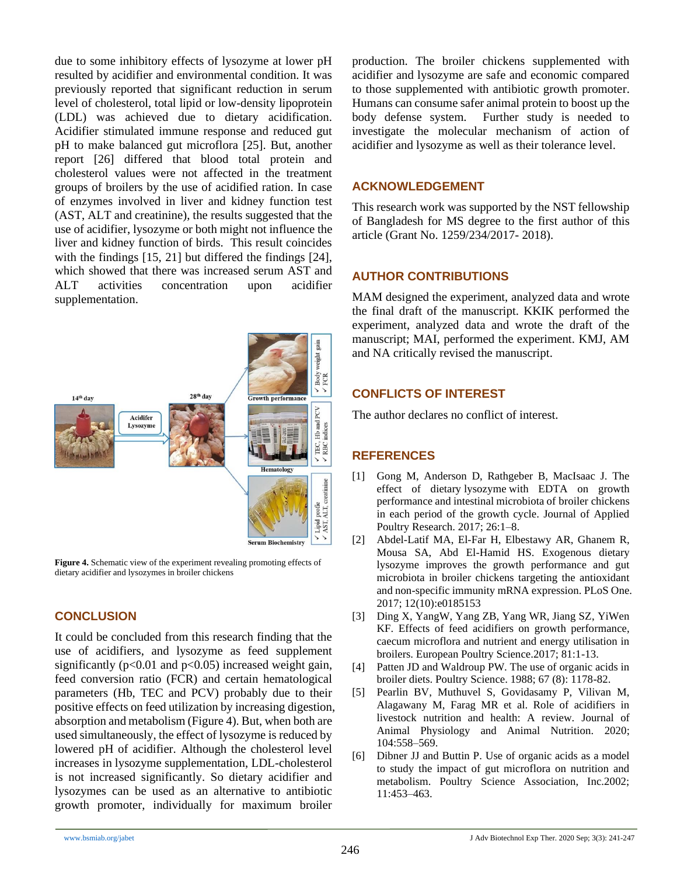due to some inhibitory effects of lysozyme at lower pH resulted by acidifier and environmental condition. It was previously reported that significant reduction in serum level of cholesterol, total lipid or low-density lipoprotein (LDL) was achieved due to dietary acidification. Acidifier stimulated immune response and reduced gut pH to make balanced gut microflora [25]. But, another report [26] differed that blood total protein and cholesterol values were not affected in the treatment groups of broilers by the use of acidified ration. In case of enzymes involved in liver and kidney function test (AST, ALT and creatinine), the results suggested that the use of acidifier, lysozyme or both might not influence the liver and kidney function of birds. This result coincides with the findings [15, 21] but differed the findings [24], which showed that there was increased serum AST and ALT activities concentration upon acidifier supplementation.



**Figure 4.** Schematic view of the experiment revealing promoting effects of dietary acidifier and lysozymes in broiler chickens

# **CONCLUSION**

It could be concluded from this research finding that the use of acidifiers, and lysozyme as feed supplement significantly ( $p<0.01$  and  $p<0.05$ ) increased weight gain, feed conversion ratio (FCR) and certain hematological parameters (Hb, TEC and PCV) probably due to their positive effects on feed utilization by increasing digestion, absorption and metabolism (Figure 4). But, when both are used simultaneously, the effect of lysozyme is reduced by lowered pH of acidifier. Although the cholesterol level increases in lysozyme supplementation, LDL-cholesterol is not increased significantly. So dietary acidifier and lysozymes can be used as an alternative to antibiotic growth promoter, individually for maximum broiler

production. The broiler chickens supplemented with acidifier and lysozyme are safe and economic compared to those supplemented with antibiotic growth promoter. Humans can consume safer animal protein to boost up the body defense system. Further study is needed to investigate the molecular mechanism of action of acidifier and lysozyme as well as their tolerance level.

# **ACKNOWLEDGEMENT**

This research work was supported by the NST fellowship of Bangladesh for MS degree to the first author of this article (Grant No. 1259/234/2017- 2018).

# **AUTHOR CONTRIBUTIONS**

MAM designed the experiment, analyzed data and wrote the final draft of the manuscript. KKIK performed the experiment, analyzed data and wrote the draft of the manuscript; MAI, performed the experiment. KMJ, AM and NA critically revised the manuscript.

# **CONFLICTS OF INTEREST**

The author declares no conflict of interest.

# **REFERENCES**

- [1] Gong M, Anderson D, Rathgeber B, MacIsaac J. The effect of dietary lysozyme with EDTA on growth performance and intestinal microbiota of broiler chickens in each period of the growth cycle. Journal of Applied Poultry Research. 2017; 26:1–8.
- [2] Abdel-Latif MA, El-Far H, Elbestawy AR, Ghanem R, Mousa SA, Abd El-Hamid HS. Exogenous dietary lysozyme improves the growth performance and gut microbiota in broiler chickens targeting the antioxidant and non-specific immunity mRNA expression. PLoS One. 2017; 12(10):e0185153
- [3] Ding X, YangW, Yang ZB, Yang WR, Jiang SZ, YiWen KF. Effects of feed acidifiers on growth performance, caecum microflora and nutrient and energy utilisation in broilers. European Poultry Science.2017; 81:1-13.
- [4] Patten JD and Waldroup PW. The use of organic acids in broiler diets. Poultry Science. 1988; 67 (8): 1178-82.
- [5] Pearlin BV, Muthuvel S, Govidasamy P, Vilivan M, Alagawany M, Farag MR et al. Role of acidifiers in livestock nutrition and health: A review. Journal of Animal Physiology and Animal Nutrition. 2020; 104:558–569.
- [6] Dibner JJ and Buttin P. Use of organic acids as a model to study the impact of gut microflora on nutrition and metabolism. Poultry Science Association, Inc.2002; 11:453–463.